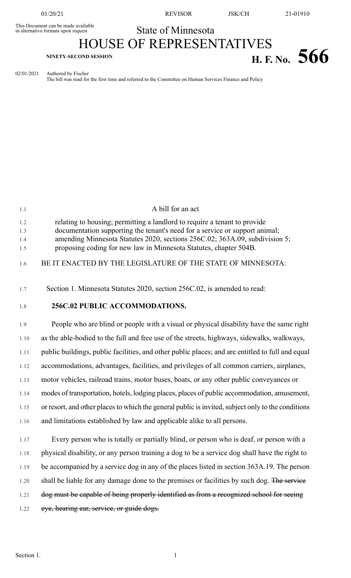This Document can be made available<br>in alternative formats upon request

01/20/21 REVISOR JSK/CH 21-01910

## State of Minnesota

## HOUSE OF REPRESENTATIVES **H. F.** No. 5666

02/01/2021 Authored by Fischer

The bill was read for the first time and referred to the Committee on Human Services Finance and Policy

| 1.1                      | A bill for an act                                                                                                                                                                                                                                                                                            |
|--------------------------|--------------------------------------------------------------------------------------------------------------------------------------------------------------------------------------------------------------------------------------------------------------------------------------------------------------|
| 1.2<br>1.3<br>1.4<br>1.5 | relating to housing; permitting a landlord to require a tenant to provide<br>documentation supporting the tenant's need for a service or support animal;<br>amending Minnesota Statutes 2020, sections 256C.02; 363A.09, subdivision 5;<br>proposing coding for new law in Minnesota Statutes, chapter 504B. |
| 1.6                      | BE IT ENACTED BY THE LEGISLATURE OF THE STATE OF MINNESOTA:                                                                                                                                                                                                                                                  |
| 1.7                      | Section 1. Minnesota Statutes 2020, section 256C.02, is amended to read:                                                                                                                                                                                                                                     |
| 1.8                      | 256C.02 PUBLIC ACCOMMODATIONS.                                                                                                                                                                                                                                                                               |
| 1.9                      | People who are blind or people with a visual or physical disability have the same right                                                                                                                                                                                                                      |
| 1.10                     | as the able-bodied to the full and free use of the streets, highways, sidewalks, walkways,                                                                                                                                                                                                                   |
| 1.11                     | public buildings, public facilities, and other public places; and are entitled to full and equal                                                                                                                                                                                                             |
| 1.12                     | accommodations, advantages, facilities, and privileges of all common carriers, airplanes,                                                                                                                                                                                                                    |
| 1.13                     | motor vehicles, railroad trains, motor buses, boats, or any other public conveyances or                                                                                                                                                                                                                      |
| 1.14                     | modes of transportation, hotels, lodging places, places of public accommodation, amusement,                                                                                                                                                                                                                  |
| 1.15                     | or resort, and other places to which the general public is invited, subject only to the conditions                                                                                                                                                                                                           |
| 1.16                     | and limitations established by law and applicable alike to all persons.                                                                                                                                                                                                                                      |
| 1.17                     | Every person who is totally or partially blind, or person who is deaf, or person with a                                                                                                                                                                                                                      |
| 1.18                     | physical disability, or any person training a dog to be a service dog shall have the right to                                                                                                                                                                                                                |
| 1.19                     | be accompanied by a service dog in any of the places listed in section 363A.19. The person                                                                                                                                                                                                                   |
| 1.20                     | shall be liable for any damage done to the premises or facilities by such dog. The service                                                                                                                                                                                                                   |
| 1.21                     | dog must be capable of being properly identified as from a recognized school for seeing                                                                                                                                                                                                                      |
| 1.22                     | eye, hearing ear, service, or guide dogs.                                                                                                                                                                                                                                                                    |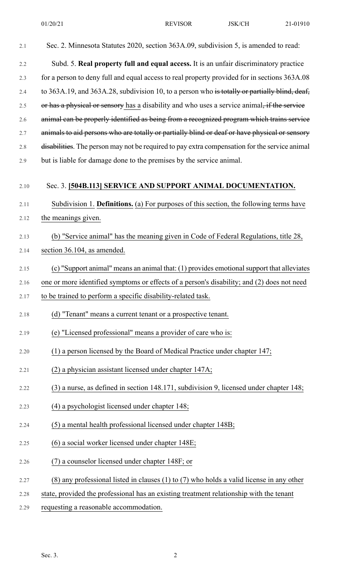| 2.1  | Sec. 2. Minnesota Statutes 2020, section 363A.09, subdivision 5, is amended to read:           |
|------|------------------------------------------------------------------------------------------------|
| 2.2  | Subd. 5. Real property full and equal access. It is an unfair discriminatory practice          |
| 2.3  | for a person to deny full and equal access to real property provided for in sections 363A.08   |
| 2.4  | to 363A.19, and 363A.28, subdivision 10, to a person who is totally or partially blind, deaf,  |
| 2.5  | or has a physical or sensory has a disability and who uses a service animal, if the service    |
| 2.6  | animal can be properly identified as being from a recognized program which trains service      |
| 2.7  | animals to aid persons who are totally or partially blind or deaf or have physical or sensory  |
| 2.8  | disabilities. The person may not be required to pay extra compensation for the service animal  |
| 2.9  | but is liable for damage done to the premises by the service animal.                           |
| 2.10 | Sec. 3. [504B.113] SERVICE AND SUPPORT ANIMAL DOCUMENTATION.                                   |
| 2.11 | Subdivision 1. Definitions. (a) For purposes of this section, the following terms have         |
| 2.12 | the meanings given.                                                                            |
| 2.13 | (b) "Service animal" has the meaning given in Code of Federal Regulations, title 28,           |
| 2.14 | section 36.104, as amended.                                                                    |
| 2.15 | (c) "Support animal" means an animal that: (1) provides emotional support that alleviates      |
| 2.16 | one or more identified symptoms or effects of a person's disability; and (2) does not need     |
| 2.17 | to be trained to perform a specific disability-related task.                                   |
| 2.18 | (d) "Tenant" means a current tenant or a prospective tenant.                                   |
| 2.19 | (e) "Licensed professional" means a provider of care who is:                                   |
| 2.20 | (1) a person licensed by the Board of Medical Practice under chapter 147;                      |
| 2.21 | (2) a physician assistant licensed under chapter 147A;                                         |
| 2.22 | (3) a nurse, as defined in section 148.171, subdivision 9, licensed under chapter 148;         |
| 2.23 | (4) a psychologist licensed under chapter 148;                                                 |
| 2.24 | (5) a mental health professional licensed under chapter 148B;                                  |
| 2.25 | (6) a social worker licensed under chapter 148E;                                               |
| 2.26 | (7) a counselor licensed under chapter 148F; or                                                |
| 2.27 | $(8)$ any professional listed in clauses $(1)$ to $(7)$ who holds a valid license in any other |
| 2.28 | state, provided the professional has an existing treatment relationship with the tenant        |

2.29 requesting a reasonable accommodation.